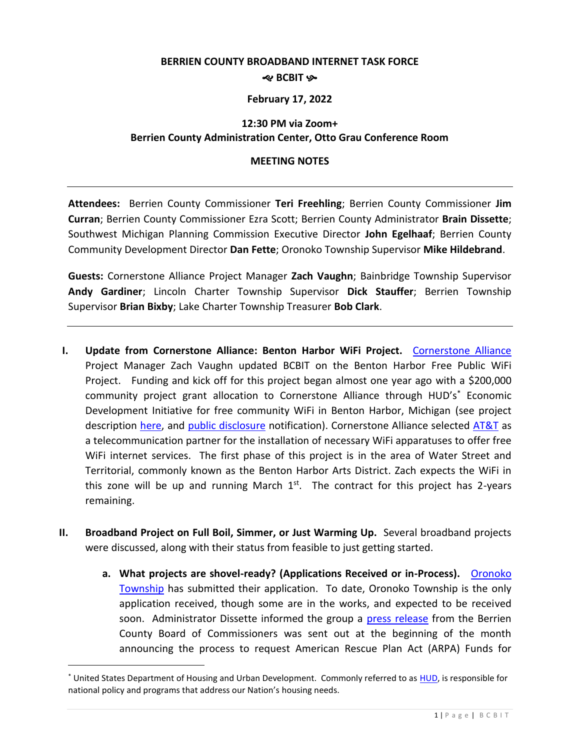### **BERRIEN COUNTY BROADBAND INTERNET TASK FORCE** *R* BCBIT &

#### **February 17, 2022**

### **12:30 PM via Zoom+ Berrien County Administration Center, Otto Grau Conference Room**

#### **MEETING NOTES**

**Attendees:** Berrien County Commissioner **Teri Freehling**; Berrien County Commissioner **Jim Curran**; Berrien County Commissioner Ezra Scott; Berrien County Administrator **Brain Dissette**; Southwest Michigan Planning Commission Executive Director **John Egelhaaf**; Berrien County Community Development Director **Dan Fette**; Oronoko Township Supervisor **Mike Hildebrand**.

**Guests:** Cornerstone Alliance Project Manager **Zach Vaughn**; Bainbridge Township Supervisor **Andy Gardiner**; Lincoln Charter Township Supervisor **Dick Stauffer**; Berrien Township Supervisor **Brian Bixby**; Lake Charter Township Treasurer **Bob Clark**.

- **I. Update from Cornerstone Alliance: Benton Harbor WiFi Project.** [Cornerstone Alliance](https://www.cstonealliance.org/) Project Manager Zach Vaughn updated BCBIT on the Benton Harbor Free Public WiFi Project. Funding and kick off for this project began almost one year ago with a \$200,000 community project grant allocation to Cornerstone Alliance through HUD's\* Economic Development Initiative for free community WiFi in Benton Harbor, Michigan (see project description [here,](https://upton.house.gov/constituent-services/community-project-funding-requests-public-disclosures.htm) and [public disclosure](https://upton.house.gov/uploadedfiles/upton_-_cornerstone_alliance_-_cpfc_-_signed.pdf) notification). Cornerstone Alliance selected [AT&T](https://www.att.com/) as a telecommunication partner for the installation of necessary WiFi apparatuses to offer free WiFi internet services. The first phase of this project is in the area of Water Street and Territorial, commonly known as the Benton Harbor Arts District. Zach expects the WiFi in this zone will be up and running March  $1<sup>st</sup>$ . The contract for this project has 2-years remaining.
- **II. Broadband Project on Full Boil, Simmer, or Just Warming Up.** Several broadband projects were discussed, along with their status from feasible to just getting started.
	- **a. What projects are shovel-ready? (Applications Received or in-Process).** [Oronoko](https://www.oronokotownship.org/)  [Township](https://www.oronokotownship.org/) has submitted their application. To date, Oronoko Township is the only application received, though some are in the works, and expected to be received soon. Administrator Dissette informed the group a [press release](https://www.berriencounty.org/DocumentCenter/View/15373/02-01-2022-Press-Release-ARPA-Funds-Application-for-Broadband?bidId=) from the Berrien County Board of Commissioners was sent out at the beginning of the month announcing the process to request American Rescue Plan Act (ARPA) Funds for

 $\overline{a}$ 

<sup>\*</sup> United States Department of Housing and Urban Development. Commonly referred to as [HUD,](https://www.hud.gov/) is responsible for national policy and programs that address our Nation's housing needs.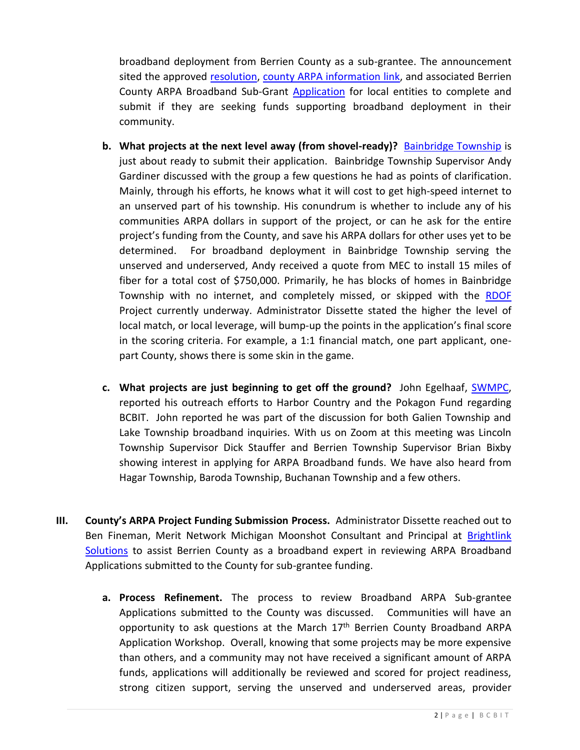broadband deployment from Berrien County as a sub-grantee. The announcement sited the approved [resolution,](https://www.berriencounty.org/DocumentCenter/View/15331/B2201191) [county ARPA information link,](https://www.berriencounty.org/1833/ARPA-Funds) and associated Berrien County ARPA Broadband Sub-Grant [Application](https://www.berriencounty.org/DocumentCenter/View/15307/01-27-22-ARPA-Broadband-Application) for local entities to complete and submit if they are seeking funds supporting broadband deployment in their community.

- **b. What projects at the next level away (from shovel-ready)?** [Bainbridge Township](https://bainbridgetownship.org/) is just about ready to submit their application. Bainbridge Township Supervisor Andy Gardiner discussed with the group a few questions he had as points of clarification. Mainly, through his efforts, he knows what it will cost to get high-speed internet to an unserved part of his township. His conundrum is whether to include any of his communities ARPA dollars in support of the project, or can he ask for the entire project's funding from the County, and save his ARPA dollars for other uses yet to be determined. For broadband deployment in Bainbridge Township serving the unserved and underserved, Andy received a quote from MEC to install 15 miles of fiber for a total cost of \$750,000. Primarily, he has blocks of homes in Bainbridge Township with no internet, and completely missed, or skipped with the [RDOF](https://www.fcc.gov/auction/904) Project currently underway. Administrator Dissette stated the higher the level of local match, or local leverage, will bump-up the points in the application's final score in the scoring criteria. For example, a 1:1 financial match, one part applicant, onepart County, shows there is some skin in the game.
- **c. What projects are just beginning to get off the ground?** John Egelhaaf, [SWMPC,](https://www.swmpc.org/) reported his outreach efforts to Harbor Country and the Pokagon Fund regarding BCBIT. John reported he was part of the discussion for both Galien Township and Lake Township broadband inquiries. With us on Zoom at this meeting was Lincoln Township Supervisor Dick Stauffer and Berrien Township Supervisor Brian Bixby showing interest in applying for ARPA Broadband funds. We have also heard from Hagar Township, Baroda Township, Buchanan Township and a few others.
- **III. County's ARPA Project Funding Submission Process.** Administrator Dissette reached out to Ben Fineman, Merit Network Michigan Moonshot Consultant and Principal at Brightlink [Solutions](http://www.brightlink.solutions/) to assist Berrien County as a broadband expert in reviewing ARPA Broadband Applications submitted to the County for sub-grantee funding.
	- **a. Process Refinement.** The process to review Broadband ARPA Sub-grantee Applications submitted to the County was discussed. Communities will have an opportunity to ask questions at the March 17<sup>th</sup> Berrien County Broadband ARPA Application Workshop. Overall, knowing that some projects may be more expensive than others, and a community may not have received a significant amount of ARPA funds, applications will additionally be reviewed and scored for project readiness, strong citizen support, serving the unserved and underserved areas, provider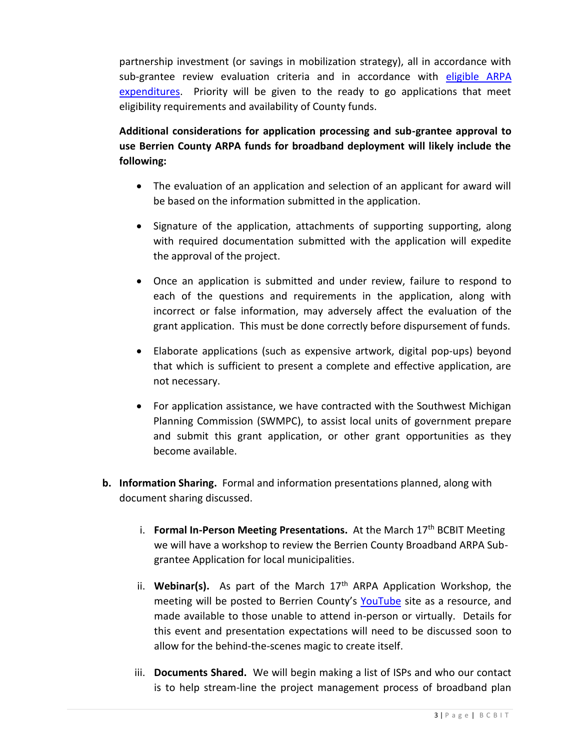partnership investment (or savings in mobilization strategy), all in accordance with sub-grantee review evaluation criteria and in accordance with [eligible ARPA](https://home.treasury.gov/system/files/136/SLFRF-Final-Rule-Overview.pdf)  [expenditures.](https://home.treasury.gov/system/files/136/SLFRF-Final-Rule-Overview.pdf) Priority will be given to the ready to go applications that meet eligibility requirements and availability of County funds.

**Additional considerations for application processing and sub-grantee approval to use Berrien County ARPA funds for broadband deployment will likely include the following:** 

- The evaluation of an application and selection of an applicant for award will be based on the information submitted in the application.
- Signature of the application, attachments of supporting supporting, along with required documentation submitted with the application will expedite the approval of the project.
- Once an application is submitted and under review, failure to respond to each of the questions and requirements in the application, along with incorrect or false information, may adversely affect the evaluation of the grant application. This must be done correctly before dispursement of funds.
- Elaborate applications (such as expensive artwork, digital pop-ups) beyond that which is sufficient to present a complete and effective application, are not necessary.
- For application assistance, we have contracted with the Southwest Michigan Planning Commission (SWMPC), to assist local units of government prepare and submit this grant application, or other grant opportunities as they become available.
- **b. Information Sharing.** Formal and information presentations planned, along with document sharing discussed.
	- i. **Formal In-Person Meeting Presentations.** At the March 17th BCBIT Meeting we will have a workshop to review the Berrien County Broadband ARPA Subgrantee Application for local municipalities.
	- ii. **Webinar(s).** As part of the March 17th ARPA Application Workshop, the meeting will be posted to Berrien County's [YouTube](https://www.youtube.com/channel/UCmM1ZFk8hLzi57B3VCj6Irw) site as a resource, and made available to those unable to attend in-person or virtually. Details for this event and presentation expectations will need to be discussed soon to allow for the behind-the-scenes magic to create itself.
	- iii. **Documents Shared.** We will begin making a list of ISPs and who our contact is to help stream-line the project management process of broadband plan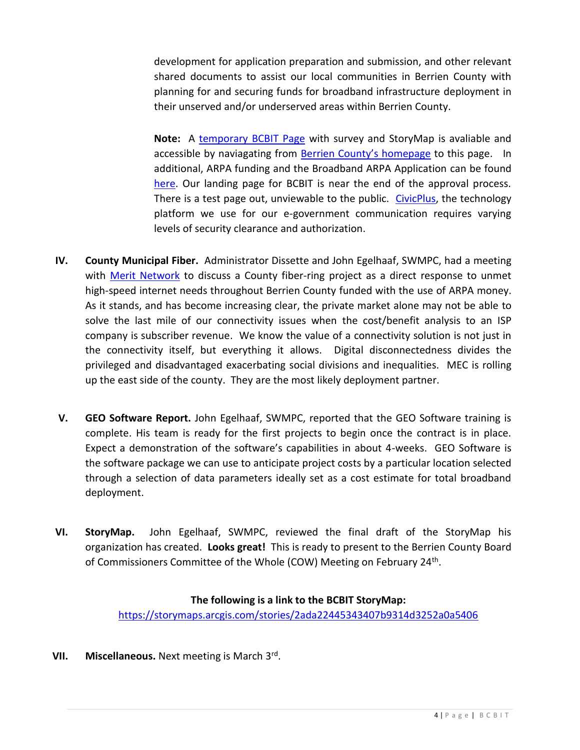development for application preparation and submission, and other relevant shared documents to assist our local communities in Berrien County with planning for and securing funds for broadband infrastructure deployment in their unserved and/or underserved areas within Berrien County.

**Note:** A [temporary BCBIT Page](https://www.berriencounty.org/CivicAlerts.aspx?AID=1746) with survey and StoryMap is avaliable and accessible by naviagating from [Berrien County's](http://www.berriencounty.org/) homepage to this page. In additional, ARPA funding and the Broadband ARPA Application can be found [here.](https://www.berriencounty.org/1833/ARPA-Funds) Our landing page for BCBIT is near the end of the approval process. There is a test page out, unviewable to the public. [CivicPlus,](https://www.civicplus.com/) the technology platform we use for our e-government communication requires varying levels of security clearance and authorization.

- **IV. County Municipal Fiber.** Administrator Dissette and John Egelhaaf, SWMPC, had a meeting with [Merit Network](https://www.merit.edu/) to discuss a County fiber-ring project as a direct response to unmet high-speed internet needs throughout Berrien County funded with the use of ARPA money. As it stands, and has become increasing clear, the private market alone may not be able to solve the last mile of our connectivity issues when the cost/benefit analysis to an ISP company is subscriber revenue. We know the value of a connectivity solution is not just in the connectivity itself, but everything it allows. Digital disconnectedness divides the privileged and disadvantaged exacerbating social divisions and inequalities. MEC is rolling up the east side of the county. They are the most likely deployment partner.
- **V. GEO Software Report.** John Egelhaaf, SWMPC, reported that the GEO Software training is complete. His team is ready for the first projects to begin once the contract is in place. Expect a demonstration of the software's capabilities in about 4-weeks. GEO Software is the software package we can use to anticipate project costs by a particular location selected through a selection of data parameters ideally set as a cost estimate for total broadband deployment.
- **VI. StoryMap.** John Egelhaaf, SWMPC, reviewed the final draft of the StoryMap his organization has created. **Looks great!** This is ready to present to the Berrien County Board of Commissioners Committee of the Whole (COW) Meeting on February 24<sup>th</sup>.

#### **The following is a link to the BCBIT StoryMap:**

<https://storymaps.arcgis.com/stories/2ada22445343407b9314d3252a0a5406>

**VII. Miscellaneous.** Next meeting is March 3rd .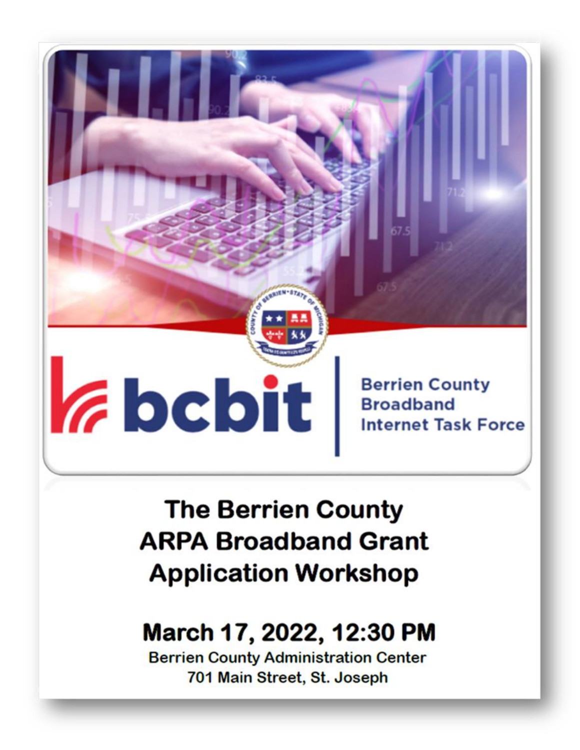### **Zheit Berrien County Broadband Internet Task Force**

**The Berrien County ARPA Broadband Grant Application Workshop** 

### March 17, 2022, 12:30 PM

**Berrien County Administration Center** 701 Main Street, St. Joseph